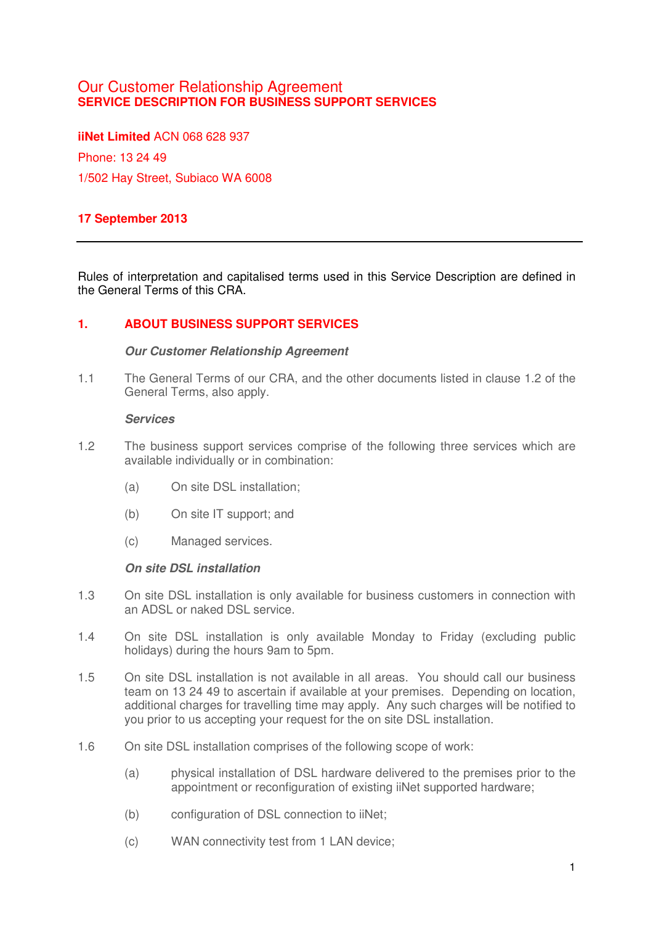# Our Customer Relationship Agreement **SERVICE DESCRIPTION FOR BUSINESS SUPPORT SERVICES**

**iiNet Limited** ACN 068 628 937 Phone: 13 24 49 1/502 Hay Street, Subiaco WA 6008

# **17 September 2013**

Rules of interpretation and capitalised terms used in this Service Description are defined in the General Terms of this CRA.

## **1. ABOUT BUSINESS SUPPORT SERVICES**

### **Our Customer Relationship Agreement**

1.1 The General Terms of our CRA, and the other documents listed in clause 1.2 of the General Terms, also apply.

#### **Services**

- 1.2 The business support services comprise of the following three services which are available individually or in combination:
	- (a) On site DSL installation;
	- (b) On site IT support; and
	- (c) Managed services.

#### **On site DSL installation**

- 1.3 On site DSL installation is only available for business customers in connection with an ADSL or naked DSL service.
- 1.4 On site DSL installation is only available Monday to Friday (excluding public holidays) during the hours 9am to 5pm.
- 1.5 On site DSL installation is not available in all areas. You should call our business team on 13 24 49 to ascertain if available at your premises. Depending on location, additional charges for travelling time may apply. Any such charges will be notified to you prior to us accepting your request for the on site DSL installation.
- 1.6 On site DSL installation comprises of the following scope of work:
	- (a) physical installation of DSL hardware delivered to the premises prior to the appointment or reconfiguration of existing iiNet supported hardware;
	- (b) configuration of DSL connection to iiNet;
	- (c) WAN connectivity test from 1 LAN device;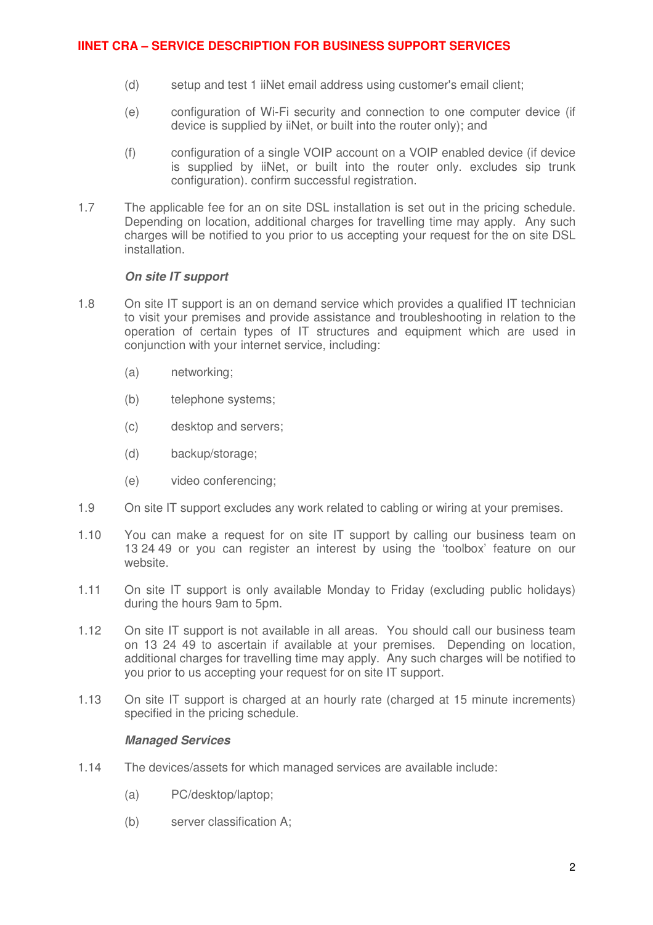# **IINET CRA – SERVICE DESCRIPTION FOR BUSINESS SUPPORT SERVICES**

- (d) setup and test 1 iiNet email address using customer's email client;
- (e) configuration of Wi-Fi security and connection to one computer device (if device is supplied by iiNet, or built into the router only); and
- (f) configuration of a single VOIP account on a VOIP enabled device (if device is supplied by iiNet, or built into the router only. excludes sip trunk configuration). confirm successful registration.
- 1.7 The applicable fee for an on site DSL installation is set out in the pricing schedule. Depending on location, additional charges for travelling time may apply. Any such charges will be notified to you prior to us accepting your request for the on site DSL installation.

### **On site IT support**

- 1.8 On site IT support is an on demand service which provides a qualified IT technician to visit your premises and provide assistance and troubleshooting in relation to the operation of certain types of IT structures and equipment which are used in conjunction with your internet service, including:
	- (a) networking;
	- (b) telephone systems;
	- (c) desktop and servers;
	- (d) backup/storage;
	- (e) video conferencing;
- 1.9 On site IT support excludes any work related to cabling or wiring at your premises.
- 1.10 You can make a request for on site IT support by calling our business team on 13 24 49 or you can register an interest by using the 'toolbox' feature on our website.
- 1.11 On site IT support is only available Monday to Friday (excluding public holidays) during the hours 9am to 5pm.
- 1.12 On site IT support is not available in all areas. You should call our business team on 13 24 49 to ascertain if available at your premises. Depending on location, additional charges for travelling time may apply. Any such charges will be notified to you prior to us accepting your request for on site IT support.
- 1.13 On site IT support is charged at an hourly rate (charged at 15 minute increments) specified in the pricing schedule.

#### **Managed Services**

- 1.14 The devices/assets for which managed services are available include:
	- (a) PC/desktop/laptop;
	- (b) server classification A;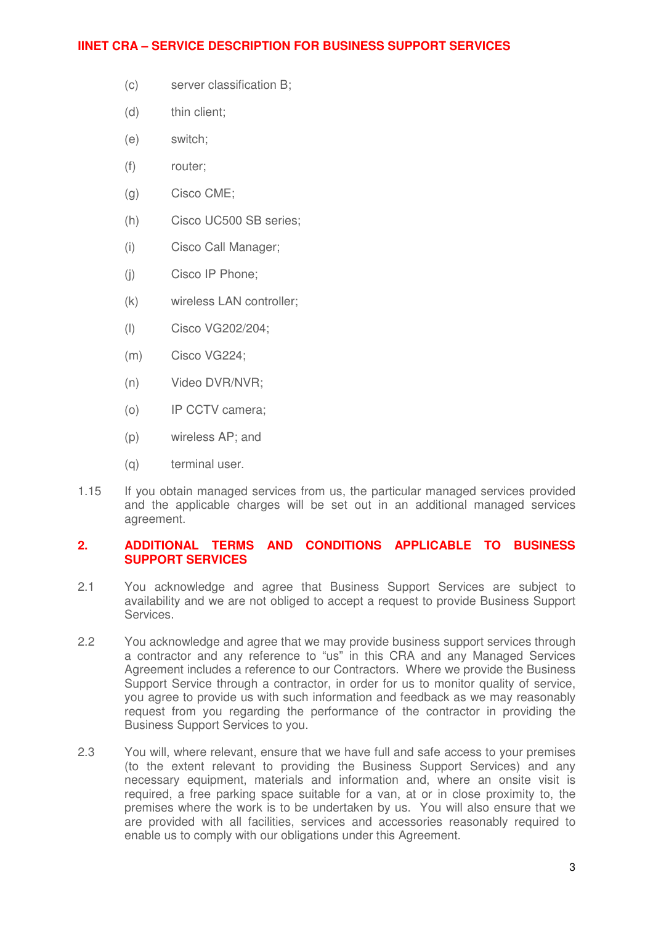## **IINET CRA – SERVICE DESCRIPTION FOR BUSINESS SUPPORT SERVICES**

- (c) server classification B;
- (d) thin client;
- (e) switch;
- (f) router;
- (g) Cisco CME;
- (h) Cisco UC500 SB series;
- (i) Cisco Call Manager;
- (j) Cisco IP Phone;
- (k) wireless LAN controller;
- (l) Cisco VG202/204;
- (m) Cisco VG224;
- (n) Video DVR/NVR;
- (o) IP CCTV camera;
- (p) wireless AP; and
- (q) terminal user.
- 1.15 If you obtain managed services from us, the particular managed services provided and the applicable charges will be set out in an additional managed services agreement.

### **2. ADDITIONAL TERMS AND CONDITIONS APPLICABLE TO BUSINESS SUPPORT SERVICES**

- 2.1 You acknowledge and agree that Business Support Services are subject to availability and we are not obliged to accept a request to provide Business Support Services.
- 2.2 You acknowledge and agree that we may provide business support services through a contractor and any reference to "us" in this CRA and any Managed Services Agreement includes a reference to our Contractors. Where we provide the Business Support Service through a contractor, in order for us to monitor quality of service, you agree to provide us with such information and feedback as we may reasonably request from you regarding the performance of the contractor in providing the Business Support Services to you.
- 2.3 You will, where relevant, ensure that we have full and safe access to your premises (to the extent relevant to providing the Business Support Services) and any necessary equipment, materials and information and, where an onsite visit is required, a free parking space suitable for a van, at or in close proximity to, the premises where the work is to be undertaken by us. You will also ensure that we are provided with all facilities, services and accessories reasonably required to enable us to comply with our obligations under this Agreement.